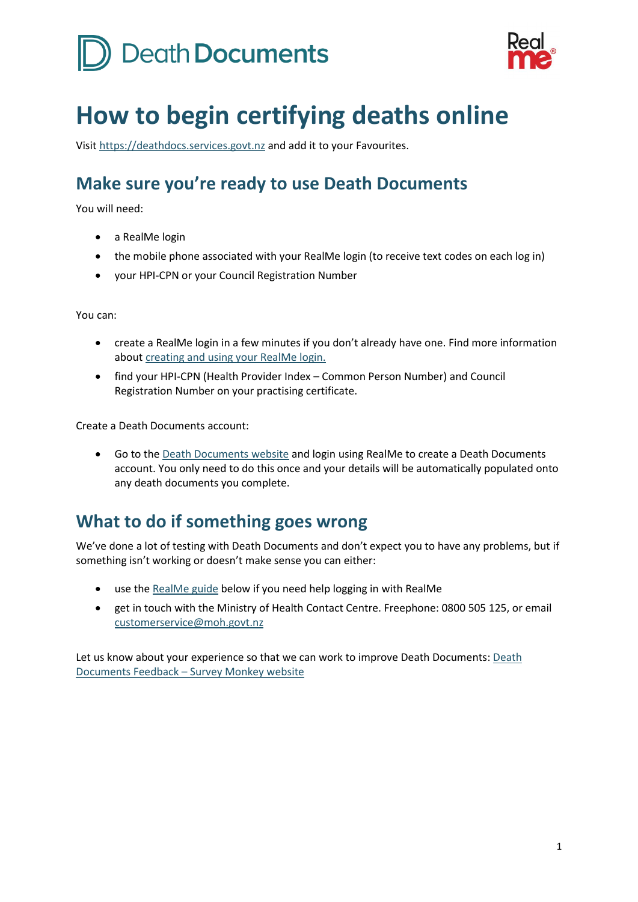# Death Documents



## **How to begin certifying deaths online**

Visi[t https://deathdocs.services.govt.nz](https://deathdocs.services.govt.nz/) and add it to your Favourites.

## **Make sure you're ready to use Death Documents**

You will need:

- a RealMe login
- the mobile phone associated with your RealMe login (to receive text codes on each log in)
- your HPI-CPN or your Council Registration Number

You can:

- create a RealMe login in a few minutes if you don't already have one. Find more information abou[t creating and using your RealMe login.](#page-0-0)
- find your HPI-CPN (Health Provider Index Common Person Number) and Council Registration Number on your practising certificate.

Create a Death Documents account:

• Go to th[e Death Documents](https://deathdocs.services.govt.nz/welcome) website and login using RealMe to create a Death Documents account. You only need to do this once and your details will be automatically populated onto any death documents you complete.

### **What to do if something goes wrong**

We've done a lot of testing with Death Documents and don't expect you to have any problems, but if something isn't working or doesn't make sense you can either:

- use th[e RealMe guide](#page-0-0) below if you need help logging in with RealMe
- <span id="page-0-0"></span>• get in touch with the Ministry of Health Contact Centre. Freephone: 0800 505 125, or email [customerservice@moh.govt.nz](mailto:customerservice@moh.govt.nz)

Let us know about your experience so that we can work to improve Death Documents: [Death](https://www.surveymonkey.com/r/LGYF3CF)  [Documents Feedback](https://www.surveymonkey.com/r/LGYF3CF) – Survey Monkey website